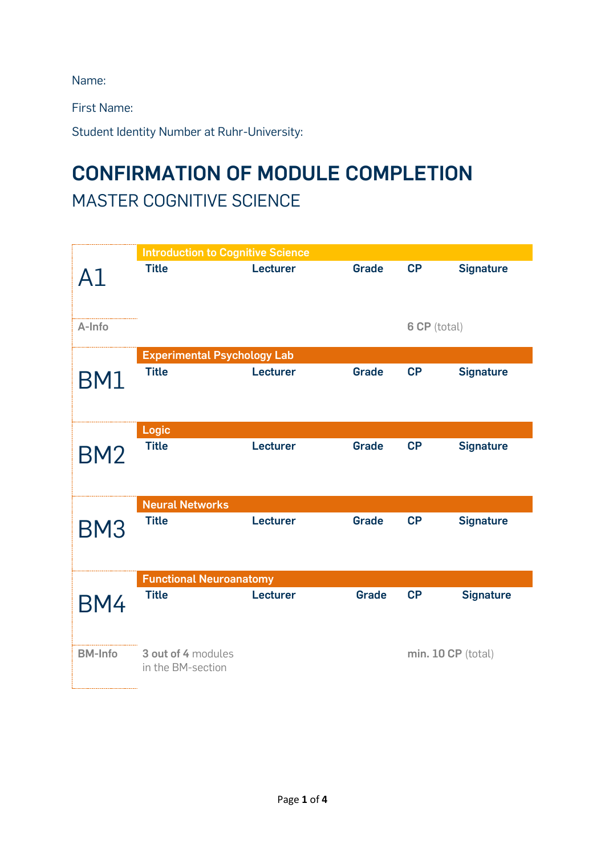Name:

First Name:

Student Identity Number at Ruhr-University:

## **CONFIRMATION OF MODULE COMPLETION** MASTER COGNITIVE SCIENCE

|                 | <b>Introduction to Cognitive Science</b> |          |              |                    |                  |  |
|-----------------|------------------------------------------|----------|--------------|--------------------|------------------|--|
| A1              | <b>Title</b>                             | Lecturer | <b>Grade</b> | CP                 | <b>Signature</b> |  |
| A-Info          |                                          |          |              | 6 CP (total)       |                  |  |
|                 | <b>Experimental Psychology Lab</b>       |          |              |                    |                  |  |
| BM1             | <b>Title</b>                             | Lecturer | <b>Grade</b> | CP                 | <b>Signature</b> |  |
| <b>BM2</b>      | <b>Logic</b>                             |          |              |                    |                  |  |
|                 | <b>Title</b>                             | Lecturer | <b>Grade</b> | CP                 | <b>Signature</b> |  |
|                 | <b>Neural Networks</b>                   |          |              |                    |                  |  |
| BM <sub>3</sub> | <b>Title</b>                             | Lecturer | <b>Grade</b> | CP                 | <b>Signature</b> |  |
|                 | <b>Functional Neuroanatomy</b>           |          |              |                    |                  |  |
| BM4             | <b>Title</b>                             | Lecturer | <b>Grade</b> | CP                 | <b>Signature</b> |  |
| <b>BM-Info</b>  | 3 out of 4 modules<br>in the BM-section  |          |              | min. 10 CP (total) |                  |  |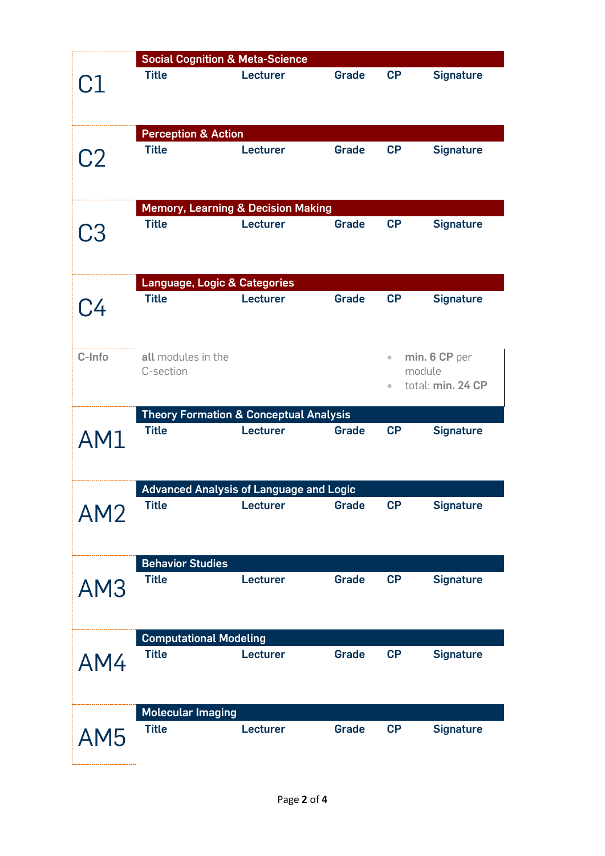|                 | <b>Social Cognition &amp; Meta-Science</b> |                                                   |              |           |                   |  |
|-----------------|--------------------------------------------|---------------------------------------------------|--------------|-----------|-------------------|--|
| C1              | <b>Title</b>                               | Lecturer                                          | <b>Grade</b> | CP        | <b>Signature</b>  |  |
|                 | <b>Perception &amp; Action</b>             |                                                   |              |           |                   |  |
| C <sub>2</sub>  | <b>Title</b>                               | Lecturer                                          | <b>Grade</b> | CP        | <b>Signature</b>  |  |
|                 |                                            | <b>Memory, Learning &amp; Decision Making</b>     |              |           |                   |  |
| C3              | <b>Title</b>                               | Lecturer                                          | <b>Grade</b> | CP        | <b>Signature</b>  |  |
|                 | <b>Language, Logic &amp; Categories</b>    |                                                   |              |           |                   |  |
| C4              | <b>Title</b>                               | Lecturer                                          | <b>Grade</b> | CP        | <b>Signature</b>  |  |
| C-Info          | all modules in the                         |                                                   |              | $\bullet$ | min. 6 CP per     |  |
|                 | C-section                                  |                                                   |              |           | module            |  |
|                 |                                            |                                                   |              | $\bullet$ | total: min. 24 CP |  |
|                 |                                            | <b>Theory Formation &amp; Conceptual Analysis</b> |              |           |                   |  |
| AM1             | <b>Title</b>                               | Lecturer                                          | <b>Grade</b> | CP        | <b>Signature</b>  |  |
|                 |                                            | <b>Advanced Analysis of Language and Logic</b>    |              |           |                   |  |
| AM <sub>2</sub> | <b>Title</b>                               | Lecturer                                          | Grade        | CP        | <b>Signature</b>  |  |
|                 | <b>Behavior Studies</b>                    |                                                   |              |           |                   |  |
| AM3             | <b>Title</b>                               | Lecturer                                          | <b>Grade</b> | CP        | <b>Signature</b>  |  |
|                 | <b>Computational Modeling</b>              |                                                   |              |           |                   |  |
| AM4             | <b>Title</b>                               | Lecturer                                          | <b>Grade</b> | CP        | <b>Signature</b>  |  |
|                 | <b>Molecular Imaging</b>                   |                                                   |              |           |                   |  |
| AM <sub>5</sub> | <b>Title</b>                               | Lecturer                                          | Grade        | CP        | <b>Signature</b>  |  |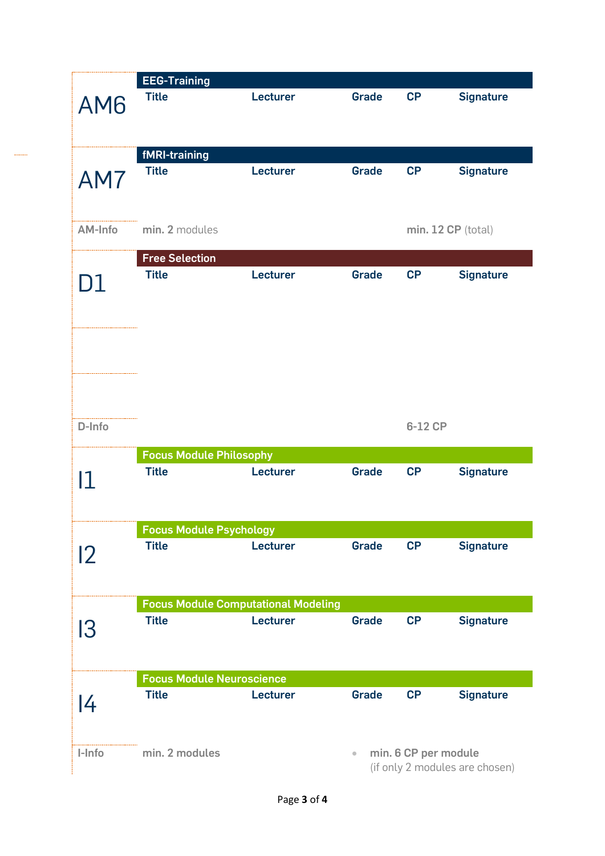|         | <b>EEG-Training</b>              |                                            |                                                        |           |                  |
|---------|----------------------------------|--------------------------------------------|--------------------------------------------------------|-----------|------------------|
| AM6     | <b>Title</b>                     | Lecturer                                   | <b>Grade</b>                                           | <b>CP</b> | <b>Signature</b> |
|         | fMRI-training<br><b>Title</b>    | Lecturer                                   | <b>Grade</b>                                           | <b>CP</b> | <b>Signature</b> |
| AM7     |                                  |                                            |                                                        |           |                  |
| AM-Info | min. 2 modules                   |                                            | min. 12 CP (total)                                     |           |                  |
|         | <b>Free Selection</b>            |                                            |                                                        |           |                  |
| D1      | <b>Title</b>                     | Lecturer                                   | <b>Grade</b>                                           | CP        | <b>Signature</b> |
|         |                                  |                                            |                                                        |           |                  |
| D-Info  |                                  |                                            |                                                        | 6-12 CP   |                  |
|         | <b>Focus Module Philosophy</b>   |                                            |                                                        |           |                  |
| 11      | <b>Title</b>                     | Lecturer                                   | <b>Grade</b>                                           | CP        | <b>Signature</b> |
|         | <b>Focus Module Psychology</b>   |                                            |                                                        |           |                  |
| 12      | <b>Title</b>                     | Lecturer                                   | <b>Grade</b>                                           | CP        | <b>Signature</b> |
|         |                                  | <b>Focus Module Computational Modeling</b> |                                                        |           |                  |
| 13      | <b>Title</b>                     | Lecturer                                   | <b>Grade</b>                                           | CP        | <b>Signature</b> |
|         | <b>Focus Module Neuroscience</b> |                                            |                                                        |           |                  |
| 4       | <b>Title</b>                     | Lecturer                                   | <b>Grade</b>                                           | CP        | <b>Signature</b> |
| I-Info  | min. 2 modules                   | $\bullet$                                  | min. 6 CP per module<br>(if only 2 modules are chosen) |           |                  |